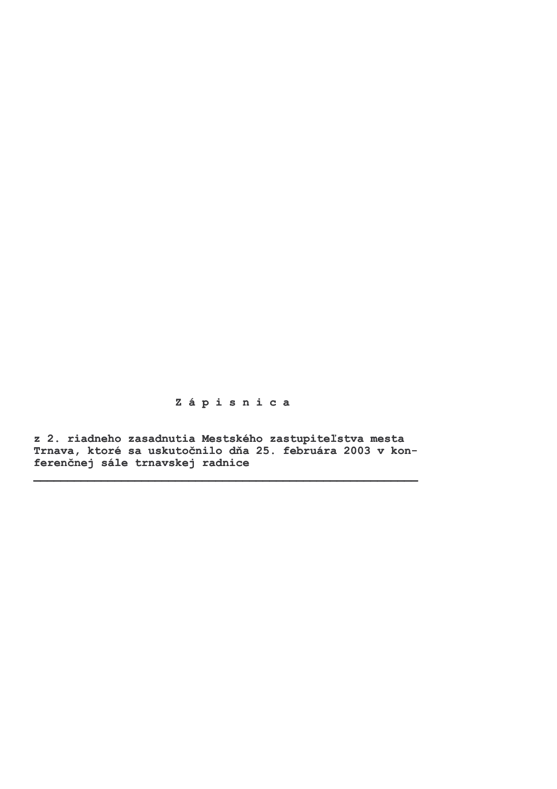Zápisnica

z 2. riadneho zasadnutia Mestského zastupiteľstva mesta Trnava, ktoré sa uskutočnilo dňa 25. februára 2003 v konferenčnej sále trnavskej radnice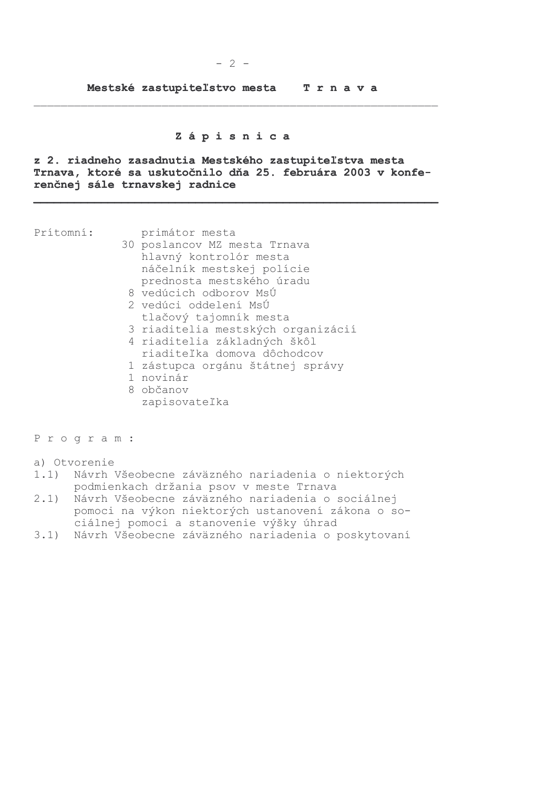Mestské zastupiteľstvo mesta Trnava

# Zápisnica

z 2. riadneho zasadnutia Mestského zastupiteľstva mesta Trnava, ktoré sa uskutočnilo dňa 25. februára 2003 v konferenčnej sále trnavskej radnice

Prítomní:

- primátor mesta 30 poslancov MZ mesta Trnava hlavný kontrolór mesta náčelník mestskej polície prednosta mestského úradu
	- 8 vedúcich odborov MsÚ 2 vedúci oddelení MsÚ
	- tlačový tajomník mesta
	- 3 riaditelia mestských organizácií
	- 4 riaditelia základných škôl riaditeľka domova dôchodcov
	- 1 zástupca orgánu štátnej správy
	- 1 novinár
	- 8 občanov
		- zapisovateľka

Program:

- a) Otvorenie
- 1.1) Návrh Všeobecne záväzného nariadenia o niektorých podmienkach držania psov v meste Trnava
- $2.1)$ Návrh Všeobecne záväzného nariadenia o sociálnej pomoci na výkon niektorých ustanovení zákona o sociálnej pomoci a stanovenie výšky úhrad
- 3.1) Návrh Všeobecne záväzného nariadenia o poskytovaní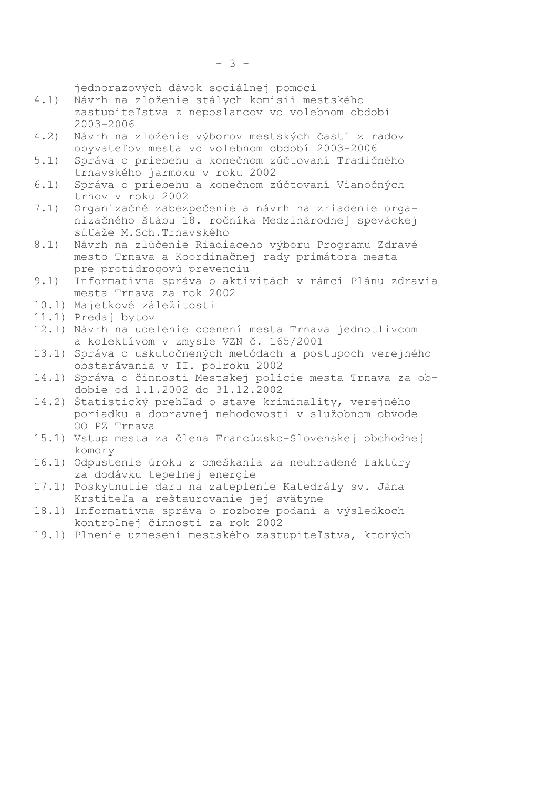jednorazových dávok sociálnej pomoci

- $4.1)$ Návrh na zloženie stálych komisií mestského zastupiteľstva z neposlancov vo volebnom období  $2003 - 2006$
- Návrh na zloženie výborov mestských častí z radov  $4.2)$ obyvateľov mesta vo volebnom období 2003-2006
- Správa o priebehu a konečnom zúčtovaní Tradičného  $5.1)$ trnavského jarmoku v roku 2002
- Správa o priebehu a konečnom zúčtovaní Vianočných  $6.1)$ trhov v roku 2002
- $7.1)$ Organizačné zabezpečenie a návrh na zriadenie organizačného štábu 18. ročníka Medzinárodnej speváckej súťaže M.Sch. Trnavského
- Návrh na zlúčenie Riadiaceho výboru Programu Zdravé  $8.1)$ mesto Trnava a Koordinačnej rady primátora mesta pre protidrogovú prevenciu
- 9.1) Informatívna správa o aktivitách v rámci Plánu zdravia mesta Trnava za rok 2002
- 10.1) Majetkové záležitosti
- 11.1) Predaj bytov
- 12.1) Návrh na udelenie ocenení mesta Trnava jednotlivcom a kolektívom v zmysle VZN č. 165/2001
- 13.1) Správa o uskutočnených metódach a postupoch verejného obstarávania v II. polroku 2002
- 14.1) Správa o činnosti Mestskej polície mesta Trnava za obdobie od 1.1.2002 do 31.12.2002
- 14.2) Štatistický prehľad o stave kriminality, verejného poriadku a dopravnej nehodovosti v služobnom obvode OO PZ Trnava
- 15.1) Vstup mesta za člena Francúzsko-Slovenskej obchodnej komory
- 16.1) Odpustenie úroku z omeškania za neuhradené faktúry za dodávku tepelnej energie
- 17.1) Poskytnutie daru na zateplenie Katedrály sv. Jána Krstiteľa a reštaurovanie jej svätyne
- 18.1) Informatívna správa o rozbore podaní a výsledkoch kontrolnej činnosti za rok 2002
- 19.1) Plnenie uznesení mestského zastupiteľstva, ktorých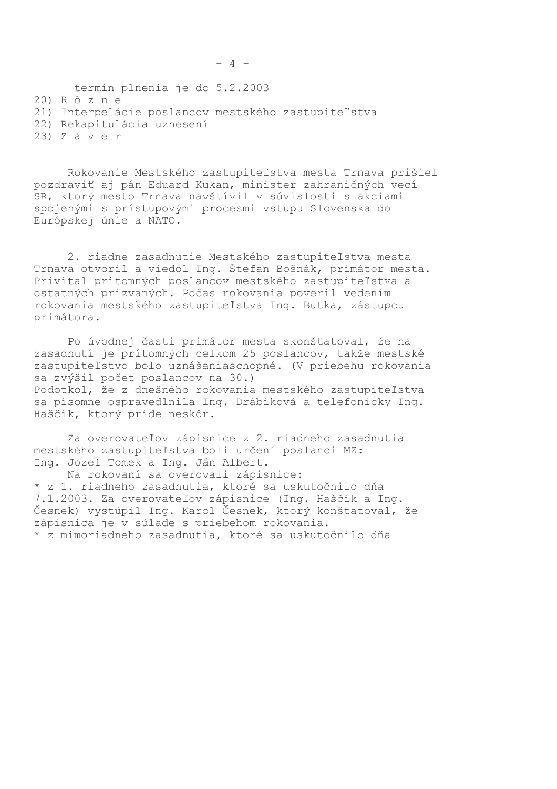termín plnenia je do 5.2.2003 20) R ô z n e 21) Interpelácie poslancov mestského zastupiteľstva 22) Rekapitulácia uznesení

 $23)$  Záver

Rokovanie Mestského zastupiteľstva mesta Trnava prišiel pozdraviť aj pán Eduard Kukan, minister zahraničných vecí SR, ktorý mesto Trnava navštívil v súvislosti s akciami spojenými s prístupovými procesmi vstupu Slovenska do Európskej únie a NATO.

2. riadne zasadnutie Mestského zastupiteľstva mesta Trnava otvoril a viedol Ing. Štefan Bošnák, primátor mesta. Privítal prítomných poslancov mestského zastupiteľstva a ostatných prizvaných. Počas rokovania poveril vedením rokovania mestského zastupiteľstva Ing. Butka, zástupcu primátora.

Po úvodnej časti primátor mesta skonštatoval, že na zasadnutí je prítomných celkom 25 poslancov, takže mestské zastupiteľstvo bolo uznášaniaschopné. (V priebehu rokovania sa zvýšil počet poslancov na 30.) Podotkol, že z dnešného rokovania mestského zastupiteľstva sa písomne ospravedlnila Ing. Drábiková a telefonicky Ing. Haščík, ktorý príde neskôr.

Za overovateľov zápisnice z 2. riadneho zasadnutia mestského zastupiteľstva boli určení poslanci MZ: Ing. Jozef Tomek a Ing. Ján Albert.

Na rokovaní sa overovali zápisnice: \* z 1. riadneho zasadnutia, ktoré sa uskutočnilo dňa 7.1.2003. Za overovateľov zápisnice (Ing. Haščík a Ing. Česnek) vystúpil Ing. Karol Česnek, ktorý konštatoval, že zápisnica je v súlade s priebehom rokovania. \* z mimoriadneho zasadnutia, ktoré sa uskutočnilo dňa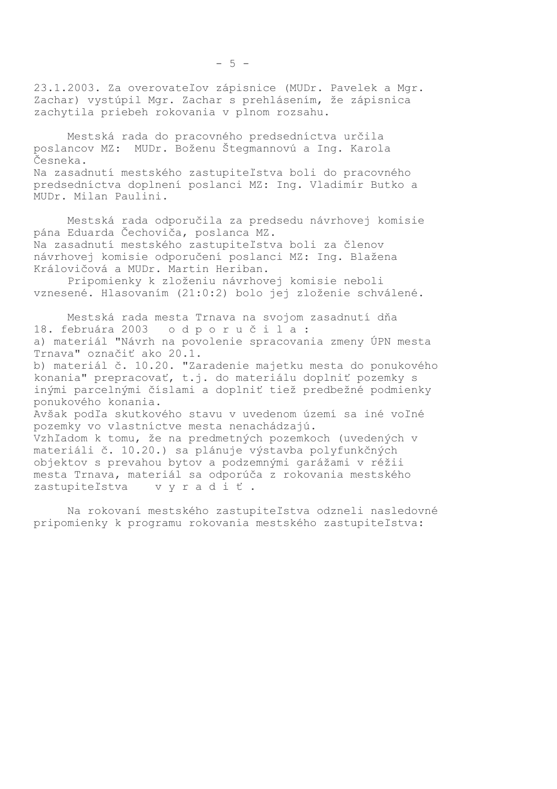23.1.2003. Za overovateľov zápisnice (MUDr. Pavelek a Mgr. Zachar) vystúpil Mgr. Zachar s prehlásením, že zápisnica zachytila priebeh rokovania v plnom rozsahu.

Mestská rada do pracovného predsedníctva určila poslancov MZ: MUDr. Boženu Štegmannovú a Ing. Karola Česneka. Na zasadnutí mestského zastupiteľstva boli do pracovného predsedníctva doplnení poslanci MZ: Inq. Vladimír Butko a MUDr. Milan Paulini.

Mestská rada odporučila za predsedu návrhovej komisie pána Eduarda Čechoviča, poslanca MZ. Na zasadnutí mestského zastupiteľstva boli za členov návrhovej komisie odporučení poslanci MZ: Ing. Blažena Královičová a MUDr. Martin Heriban.

Pripomienky k zloženiu návrhovej komisie neboli vznesené. Hlasovaním (21:0:2) bolo jej zloženie schválené.

Mestská rada mesta Trnava na svojom zasadnutí dňa 18. februára 2003 odporučila: a) materiál "Návrh na povolenie spracovania zmeny ÚPN mesta Trnava" označiť ako 20.1. b) materiál č. 10.20. "Zaradenie majetku mesta do ponukového konania" prepracovať, t.j. do materiálu doplniť pozemky s inými parcelnými číslami a doplniť tiež predbežné podmienky ponukového konania. Avšak podľa skutkového stavu v uvedenom území sa iné voľné pozemky vo vlastníctve mesta nenachádzajú. Vzhľadom k tomu, že na predmetných pozemkoch (uvedených v materiáli č. 10.20.) sa plánuje výstavba polyfunkčných objektov s prevahou bytov a podzemnými garážami v réžii mesta Trnava, materiál sa odporúča z rokovania mestského

Na rokovaní mestského zastupiteľstva odzneli nasledovné pripomienky k programu rokovania mestského zastupiteľstva:

zastupiteľstva vyradiť.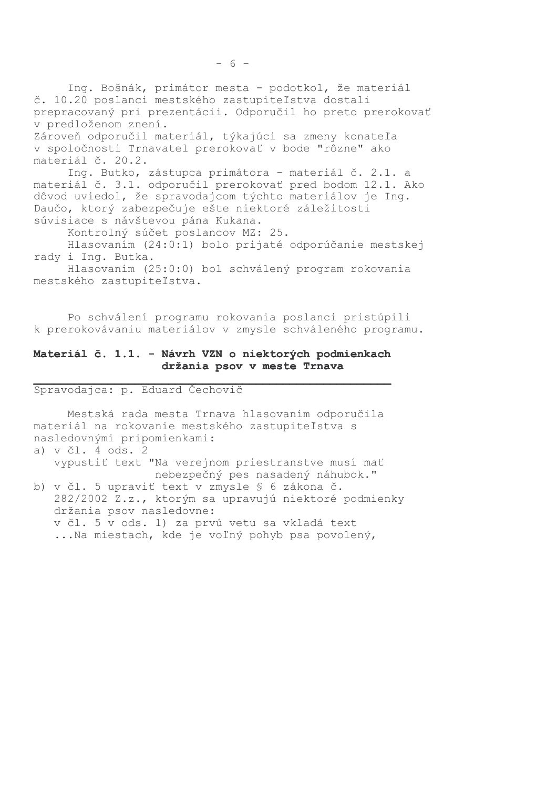Ing. Bošnák, primátor mesta - podotkol, že materiál č. 10.20 poslanci mestského zastupiteľstva dostali prepracovaný pri prezentácii. Odporučil ho preto prerokovať v predloženom znení. Zároveň odporučil materiál, týkajúci sa zmeny konateľa v spoločnosti Trnavatel prerokovať v bode "rôzne" ako materiál č. 20.2. Ing. Butko, zástupca primátora - materiál č. 2.1. a materiál č. 3.1. odporučil prerokovať pred bodom 12.1. Ako dôvod uviedol, že spravodajcom týchto materiálov je Ing. Daučo, ktorý zabezpečuje ešte niektoré záležitosti súvisiace s návštevou pána Kukana. Kontrolný súčet poslancov MZ: 25.

Hlasovaním (24:0:1) bolo prijaté odporúčanie mestskej rady i Ing. Butka.

Hlasovaním (25:0:0) bol schválený program rokovania mestského zastupiteľstva.

Po schválení programu rokovania poslanci pristúpili k prerokovávaniu materiálov v zmysle schváleného programu.

## Materiál č. 1.1. - Návrh VZN o niektorých podmienkach držania psov v meste Trnava

Spravodajca: p. Eduard Čechovič

Mestská rada mesta Trnava hlasovaním odporučila materiál na rokovanie mestského zastupiteľstva s nasledovnými pripomienkami:

| a) $v c1.4 ods.2$                                    |
|------------------------------------------------------|
| vypustiť text "Na verejnom priestranstve musí mať    |
| nebezpečný pes nasadený náhubok."                    |
| b) v čl. 5 upraviť text v zmysle § 6 zákona č.       |
| 282/2002 Z.z., ktorým sa upravujú niektoré podmienky |
| držania psov nasledovne:                             |

v čl. 5 v ods. 1) za prvú vetu sa vkladá text ...Na miestach, kde je voľný pohyb psa povolený,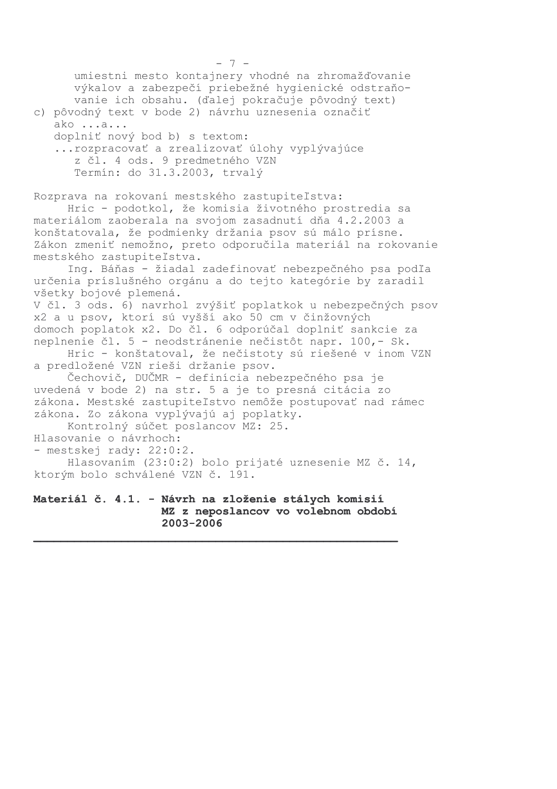```
-7-umiestni mesto kontajnery vhodné na zhromažďovanie
      výkalov a zabezpečí priebežné hygienické odstraňo-
      vanie ich obsahu. (ďalej pokračuje pôvodný text)
c) pôvodný text v bode 2) návrhu uznesenia označiť
   ako ...a...
   doplniť nový bod b) s textom:
   ... rozpracovať a zrealizovať úlohy vyplývajúce
      z čl. 4 ods. 9 predmetného VZN
      Termín: do 31.3.2003, trvalý
Rozprava na rokovaní mestského zastupiteľstva:
     Hric - podotkol, že komisia životného prostredia sa
materiálom zaoberala na svojom zasadnutí dňa 4.2.2003 a
konštatovala, že podmienky držania psov sú málo prísne.
Zákon zmeniť nemožno, preto odporučila materiál na rokovanie
mestského zastupiteľstva.
     Ing. Báňas - žiadal zadefinovať nebezpečného psa podľa
určenia príslušného orgánu a do tejto kategórie by zaradil
všetky bojové plemená.
V čl. 3 ods. 6) navrhol zvýšiť poplatkok u nebezpečných psov
x2 a u psov, ktorí sú vyšší ako 50 cm v činžovných
domoch poplatok x2. Do čl. 6 odporúčal doplniť sankcie za
neplnenie čl. 5 - neodstránenie nečistôt napr. 100, - Sk.
     Hric - konštatoval, že nečistoty sú riešené v inom VZN
a predložené VZN rieši držanie psov.
     Čechovič, DUČMR - definícia nebezpečného psa je
uvedená v bode 2) na str. 5 a je to presná citácia zo
zákona. Mestské zastupiteľstvo nemôže postupovať nad rámec
zákona. Zo zákona vyplývajú aj poplatky.
     Kontrolný súčet poslancov MZ: 25.
Hlasovanie o návrhoch:
- mestskej rady: 22:0:2.
     Hlasovaním (23:0:2) bolo prijaté uznesenie MZ č. 14,
ktorým bolo schválené VZN č. 191.
Materiál č. 4.1. - Návrh na zloženie stálych komisií
                   MZ z neposlancov vo volebnom období
```
2003-2006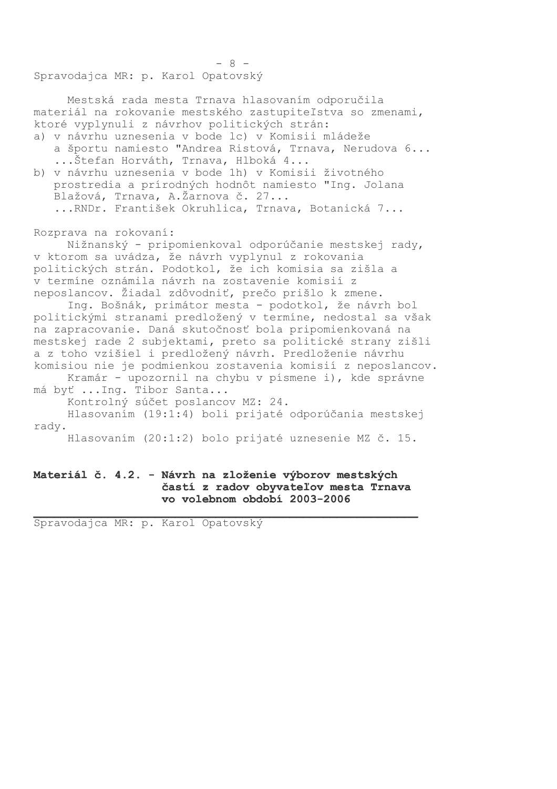Spravodajca MR: p. Karol Opatovský

Mestská rada mesta Trnava hlasovaním odporučila materiál na rokovanie mestského zastupiteľstva so zmenami, ktoré vyplynuli z návrhov politických strán: a) v návrhu uznesenia v bode lc) v Komisii mládeže a športu namiesto "Andrea Ristová, Trnava, Nerudova 6... ...Štefan Horváth, Trnava, Hlboká 4... b) v návrhu uznesenia v bode 1h) v Komisii životného prostredia a prírodných hodnôt namiesto "Ing. Jolana Blažová, Trnava, A.Žarnova č. 27... ... RNDr. František Okruhlica, Trnava, Botanická 7...

 $-8-$ 

Rozprava na rokovaní:

Nižnanský - pripomienkoval odporúčanie mestskej rady, v ktorom sa uvádza, že návrh vyplynul z rokovania politických strán. Podotkol, že ich komisia sa zišla a v termíne oznámila návrh na zostavenie komisií z neposlancov. Žiadal zdôvodniť, prečo prišlo k zmene.

Ing. Bošnák, primátor mesta - podotkol, že návrh bol politickými stranami predložený v termíne, nedostal sa však na zapracovanie. Daná skutočnosť bola pripomienkovaná na mestskej rade 2 subjektami, preto sa politické strany zišli a z toho vzišiel i predložený návrh. Predloženie návrhu komisiou nie je podmienkou zostavenia komisií z neposlancov.

Kramár - upozornil na chybu v písmene i), kde správne má byť ... Ing. Tibor Santa...

Kontrolný súčet poslancov MZ: 24.

Hlasovaním (19:1:4) boli prijaté odporúčania mestskej radv.

Hlasovaním (20:1:2) bolo prijaté uznesenie MZ č. 15.

#### Materiál č. 4.2. - Návrh na zloženie výborov mestských častí z radov obyvateľov mesta Trnava vo volebnom období 2003-2006

Spravodajca MR: p. Karol Opatovský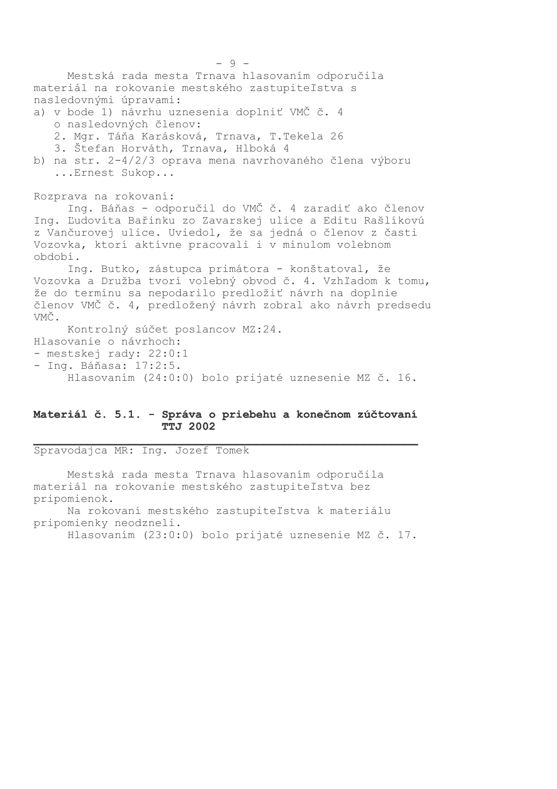Mestská rada mesta Trnava hlasovaním odporučila materiál na rokovanie mestského zastupiteľstva s nasledovnými úpravami: a) v bode 1) návrhu uznesenia doplniť VMČ č. 4 o nasledovných členov: 2. Mgr. Táňa Karásková, Trnava, T. Tekela 26 3. Štefan Horváth, Trnava, Hlboká 4 b) na str. 2-4/2/3 oprava mena navrhovaného člena výboru ... Ernest Sukop... Rozprava na rokovaní: Ing. Báňas - odporučil do VMČ č. 4 zaradiť ako členov Ing. Ľudovíta Bařinku zo Zavarskej ulice a Editu Rašlíkovú z Vančurovej ulice. Uviedol, že sa jedná o členov z časti Vozovka, ktorí aktívne pracovali i v minulom volebnom období. Ing. Butko, zástupca primátora - konštatoval, že Vozovka a Družba tvorí volebný obvod č. 4. Vzhľadom k tomu, že do termínu sa nepodarilo predložiť návrh na doplnie členov VMČ č. 4, predložený návrh zobral ako návrh predsedu VMČ. Kontrolný súčet poslancov MZ:24. Hlasovanie o návrhoch: - mestskej rady: 22:0:1 - Ing. Báňasa: 17:2:5. Hlasovaním (24:0:0) bolo prijaté uznesenie MZ č. 16.

#### Materiál č. 5.1. - Správa o priebehu a konečnom zúčtovaní **TTJ 2002**

Spravodajca MR: Ing. Jozef Tomek

Mestská rada mesta Trnava hlasovaním odporučila materiál na rokovanie mestského zastupiteľstva bez pripomienok.

Na rokovaní mestského zastupiteľstva k materiálu pripomienky neodzneli.

Hlasovaním (23:0:0) bolo prijaté uznesenie MZ č. 17.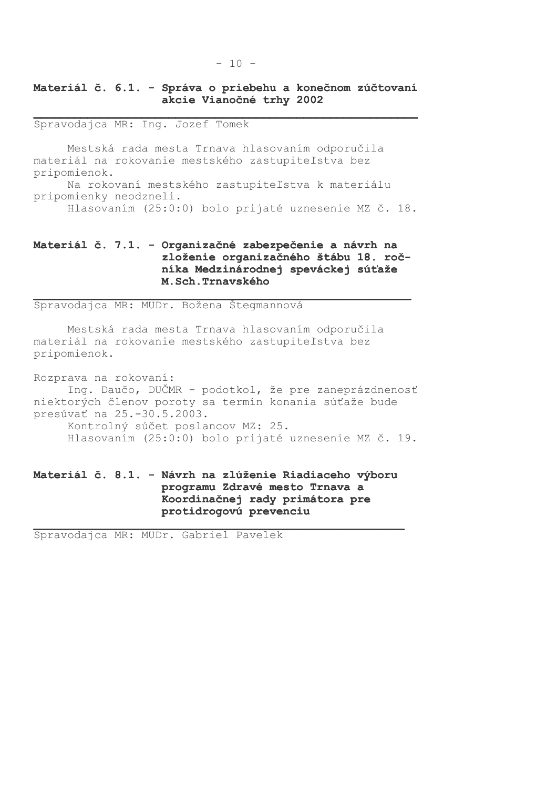# Materiál č. 6.1. - Správa o priebehu a konečnom zúčtovaní akcie Vianočné trhy 2002

Spravodajca MR: Ing. Jozef Tomek

Mestská rada mesta Trnava hlasovaním odporučila materiál na rokovanie mestského zastupiteľstva bez pripomienok. Na rokovaní mestského zastupiteľstva k materiálu pripomienky neodzneli. Hlasovaním (25:0:0) bolo prijaté uznesenie MZ č. 18.

# Materiál č. 7.1. - Organizačné zabezpečenie a návrh na zloženie organizačného štábu 18. ročníka Medzinárodnej speváckej súťaže M.Sch.Trnavského

Spravodajca MR: MUDr. Božena Štegmannová

Mestská rada mesta Trnava hlasovaním odporučila materiál na rokovanie mestského zastupiteľstva bez pripomienok.

Rozprava na rokovaní: Ing. Daučo, DUČMR - podotkol, že pre zaneprázdnenosť niektorých členov poroty sa termín konania súťaže bude presúvať na 25.-30.5.2003. Kontrolný súčet poslancov MZ: 25. Hlasovaním (25:0:0) bolo prijaté uznesenie MZ č. 19.

# Materiál č. 8.1. - Návrh na zlúženie Riadiaceho výboru programu Zdravé mesto Trnava a Koordinačnej rady primátora pre protidrogovú prevenciu

Spravodajca MR: MUDr. Gabriel Pavelek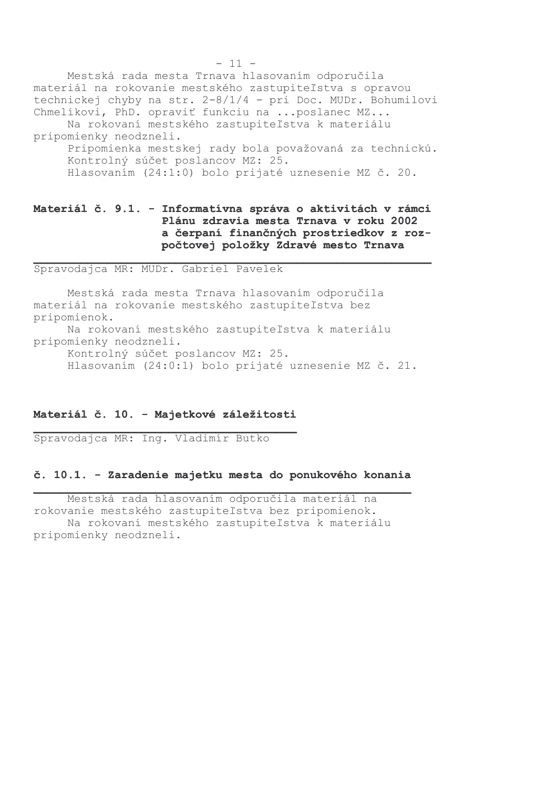Mestská rada mesta Trnava hlasovaním odporučila materiál na rokovanie mestského zastupiteľstva s opravou technickej chyby na str. 2-8/1/4 - pri Doc. MUDr. Bohumilovi Chmelíkovi, PhD. opraviť funkciu na ... poslanec MZ... Na rokovaní mestského zastupiteľstva k materiálu pripomienky neodzneli. Pripomienka mestskej rady bola považovaná za technickú. Kontrolný súčet poslancov MZ: 25. Hlasovaním (24:1:0) bolo prijaté uznesenie MZ č. 20.

## Materiál č. 9.1. - Informatívna správa o aktivitách v rámci Plánu zdravia mesta Trnava v roku 2002 a čerpaní finančných prostriedkov z rozpočtovej položky Zdravé mesto Trnava

Spravodajca MR: MUDr. Gabriel Pavelek

Mestská rada mesta Trnava hlasovaním odporučila materiál na rokovanie mestského zastupiteľstva bez pripomienok.

Na rokovaní mestského zastupiteľstva k materiálu pripomienky neodzneli.

Kontrolný súčet poslancov MZ: 25.

Hlasovaním (24:0:1) bolo prijaté uznesenie MZ č. 21.

#### Materiál č. 10. - Majetkové záležitosti

Spravodajca MR: Ing. Vladimír Butko

#### č. 10.1. - Zaradenie majetku mesta do ponukového konania

Mestská rada hlasovaním odporučila materiál na rokovanie mestského zastupiteľstva bez pripomienok. Na rokovaní mestského zastupiteľstva k materiálu pripomienky neodzneli.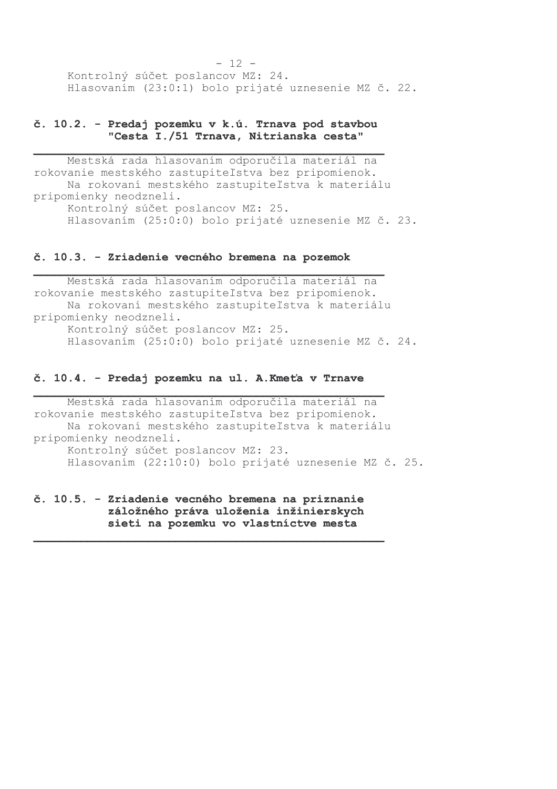$-12 -$ Kontrolný súčet poslancov MZ: 24. Hlasovaním (23:0:1) bolo prijaté uznesenie MZ č. 22.

#### č. 10.2. - Predaj pozemku v k.ú. Trnava pod stavbou "Cesta I./51 Trnava, Nitrianska cesta"

Mestská rada hlasovaním odporučila materiál na rokovanie mestského zastupiteľstva bez pripomienok. Na rokovaní mestského zastupiteľstva k materiálu pripomienky neodzneli. Kontrolný súčet poslancov MZ: 25. Hlasovaním (25:0:0) bolo prijaté uznesenie MZ č. 23.

#### č. 10.3. - Zriadenie vecného bremena na pozemok

Mestská rada hlasovaním odporučila materiál na rokovanie mestského zastupiteľstva bez pripomienok. Na rokovaní mestského zastupiteľstva k materiálu pripomienky neodzneli. Kontrolný súčet poslancov MZ: 25. Hlasovaním (25:0:0) bolo prijaté uznesenie MZ č. 24.

#### č. 10.4. - Predaj pozemku na ul. A. Kmeťa v Trnave

Mestská rada hlasovaním odporučila materiál na rokovanie mestského zastupiteľstva bez pripomienok. Na rokovaní mestského zastupiteľstva k materiálu pripomienky neodzneli. Kontrolný súčet poslancov MZ: 23. Hlasovaním (22:10:0) bolo prijaté uznesenie MZ č. 25.

č. 10.5. - Zriadenie vecného bremena na priznanie záložného práva uloženia inžinierskych sieti na pozemku vo vlastníctve mesta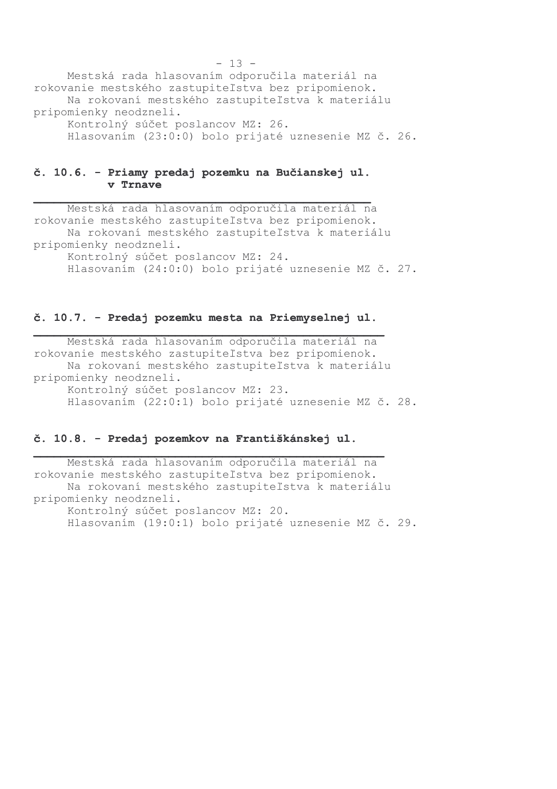Mestská rada hlasovaním odporučila materiál na rokovanie mestského zastupiteľstva bez pripomienok. Na rokovaní mestského zastupiteľstva k materiálu pripomienky neodzneli. Kontrolný súčet poslancov MZ: 26. Hlasovaním (23:0:0) bolo prijaté uznesenie MZ č. 26.

#### č. 10.6. - Priamy predaj pozemku na Bučianskej ul. v Trnave

Mestská rada hlasovaním odporučila materiál na rokovanie mestského zastupiteľstva bez pripomienok. Na rokovaní mestského zastupiteľstva k materiálu pripomienky neodzneli. Kontrolný súčet poslancov MZ: 24. Hlasovaním (24:0:0) bolo prijaté uznesenie MZ č. 27.

#### č. 10.7. - Predaj pozemku mesta na Priemyselnej ul.

Mestská rada hlasovaním odporučila materiál na rokovanie mestského zastupiteľstva bez pripomienok. Na rokovaní mestského zastupiteľstva k materiálu pripomienky neodzneli. Kontrolný súčet poslancov MZ: 23. Hlasovaním (22:0:1) bolo prijaté uznesenie MZ č. 28.

#### č. 10.8. - Predaj pozemkov na Františkánskej ul.

Mestská rada hlasovaním odporučila materiál na rokovanie mestského zastupiteľstva bez pripomienok. Na rokovaní mestského zastupiteľstva k materiálu pripomienky neodzneli. Kontrolný súčet poslancov MZ: 20. Hlasovaním (19:0:1) bolo prijaté uznesenie MZ č. 29.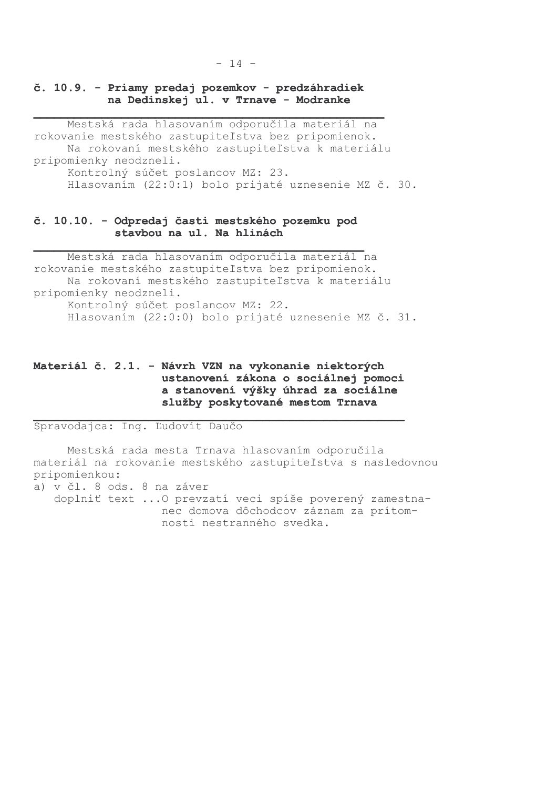#### č. 10.9. - Priamy predaj pozemkov - predzáhradiek na Dedinskej ul. v Trnave - Modranke

Mestská rada hlasovaním odporučila materiál na rokovanie mestského zastupiteľstva bez pripomienok. Na rokovaní mestského zastupiteľstva k materiálu pripomienky neodzneli. Kontrolný súčet poslancov MZ: 23. Hlasovaním (22:0:1) bolo prijaté uznesenie MZ č. 30.

## č. 10.10. - Odpredaj časti mestského pozemku pod stavbou na ul. Na hlinách

Mestská rada hlasovaním odporučila materiál na rokovanie mestského zastupiteľstva bez pripomienok. Na rokovaní mestského zastupiteľstva k materiálu pripomienky neodzneli. Kontrolný súčet poslancov MZ: 22. Hlasovaním (22:0:0) bolo prijaté uznesenie MZ č. 31.

# Materiál č. 2.1. - Návrh VZN na vykonanie niektorých ustanovení zákona o sociálnej pomoci a stanovení výšky úhrad za sociálne služby poskytované mestom Trnava

Spravodajca: Ing. Ľudovít Daučo

Mestská rada mesta Trnava hlasovaním odporučila materiál na rokovanie mestského zastupiteľstva s nasledovnou pripomienkou:

a) v čl. 8 ods. 8 na záver

doplniť text ... O prevzatí veci spíše poverený zamestnanec domova dôchodcov záznam za prítomnosti nestranného svedka.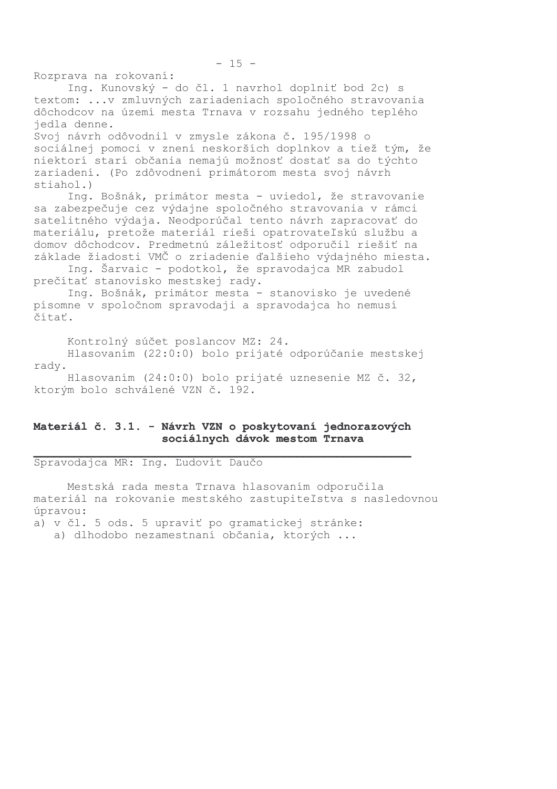Rozprava na rokovaní:

Ing. Kunovský - do čl. 1 navrhol doplniť bod 2c) s textom: ...v zmluvných zariadeniach spoločného stravovania dôchodcov na území mesta Trnava v rozsahu jedného teplého iedla denne.

Svoj návrh odôvodnil v zmysle zákona č. 195/1998 o sociálnej pomoci v znení neskorších doplnkov a tiež tým, že niektorí starí občania nemajú možnosť dostať sa do týchto zariadení. (Po zdôvodnení primátorom mesta svoj návrh stiahol.)

Ing. Bošnák, primátor mesta - uviedol, že stravovanie sa zabezpečuje cez výdajne spoločného stravovania v rámci satelitného výdaja. Neodporúčal tento návrh zapracovať do materiálu, pretože materiál rieši opatrovateľskú službu a domov dôchodcov. Predmetnú záležitosť odporučil riešiť na základe žiadosti VMČ o zriadenie ďalšieho výdajného miesta.

Ing. Šarvaic - podotkol, že spravodajca MR zabudol prečítať stanovisko mestskej rady.

Ing. Bošnák, primátor mesta - stanovisko je uvedené písomne v spoločnom spravodaji a spravodajca ho nemusí čítať.

Kontrolný súčet poslancov MZ: 24.

Hlasovaním (22:0:0) bolo prijaté odporúčanie mestskej rady.

Hlasovaním (24:0:0) bolo prijaté uznesenie MZ č. 32, ktorým bolo schválené VZN č. 192.

#### Materiál č. 3.1. - Návrh VZN o poskytovaní jednorazových sociálnych dávok mestom Trnava

Spravodajca MR: Ing. Ľudovít Daučo

Mestská rada mesta Trnava hlasovaním odporučila materiál na rokovanie mestského zastupiteľstva s nasledovnou úpravou:

a) v čl. 5 ods. 5 upraviť po gramatickej stránke:

a) dlhodobo nezamestnaní občania, ktorých ...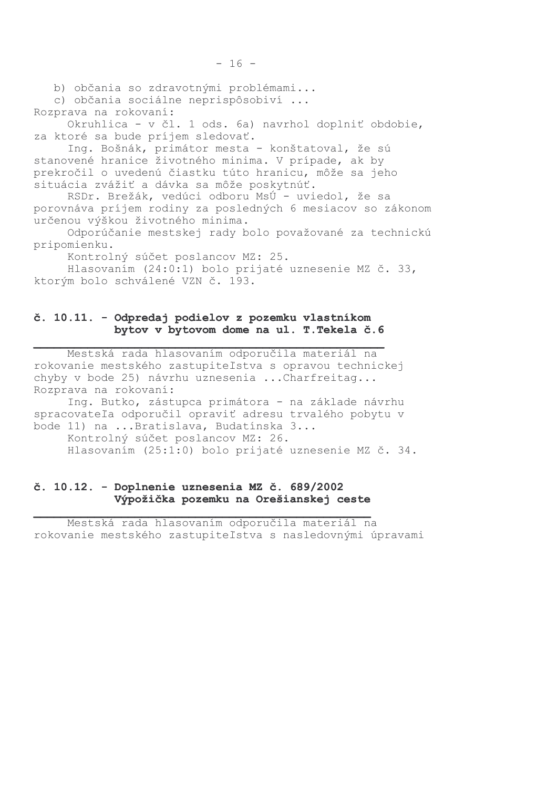b) občania so zdravotnými problémami...

c) občania sociálne neprispôsobiví ...

Rozprava na rokovaní: Okruhlica - v čl. 1 ods. 6a) navrhol doplniť obdobie, za ktoré sa bude príjem sledovať.

 $-16 -$ 

Ing. Bošnák, primátor mesta - konštatoval, že sú stanovené hranice životného minima. V prípade, ak by prekročil o uvedenú čiastku túto hranicu, môže sa jeho situácia zvážiť a dávka sa môže poskytnúť.

RSDr. Brežák, vedúci odboru MsÚ - uviedol, že sa porovnáva príjem rodiny za posledných 6 mesiacov so zákonom určenou výškou životného minima.

Odporúčanie mestskej rady bolo považované za technickú pripomienku.

Kontrolný súčet poslancov MZ: 25.

Hlasovaním (24:0:1) bolo prijaté uznesenie MZ č. 33, ktorým bolo schválené VZN č. 193.

# č. 10.11. - Odpredaj podielov z pozemku vlastníkom bytov v bytovom dome na ul. T. Tekela č. 6

Mestská rada hlasovaním odporučila materiál na rokovanie mestského zastupiteľstva s opravou technickej chyby v bode 25) návrhu uznesenia ... Charfreitag... Rozprava na rokovaní:

Ing. Butko, zástupca primátora - na základe návrhu spracovateľa odporučil opraviť adresu trvalého pobytu v bode 11) na ...Bratislava, Budatínska 3...

Kontrolný súčet poslancov MZ: 26. Hlasovaním (25:1:0) bolo prijaté uznesenie MZ č. 34.

# č. 10.12. - Doplnenie uznesenia MZ č. 689/2002 Výpožička pozemku na Orešianskej ceste

Mestská rada hlasovaním odporučila materiál na rokovanie mestského zastupiteľstva s nasledovnými úpravami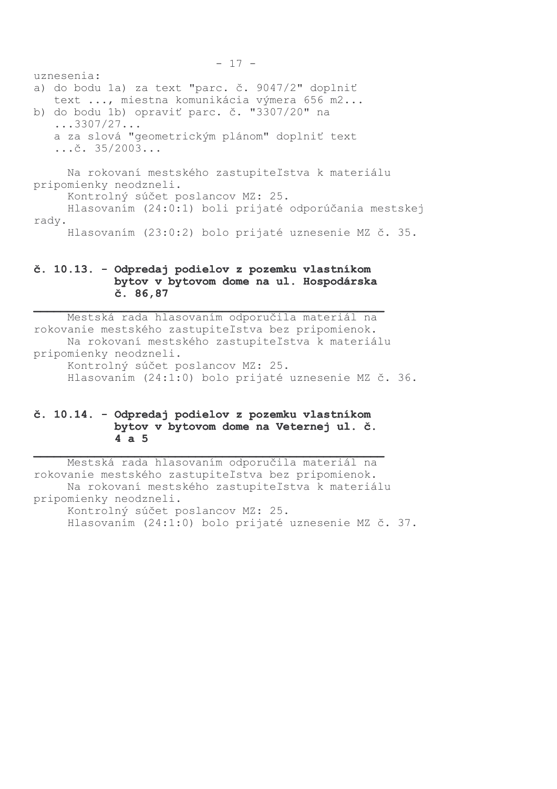$-17$ uznesenia: a) do bodu 1a) za text "parc. č. 9047/2" doplniť text ..., miestna komunikácia výmera 656 m2... b) do bodu 1b) opraviť parc. č. "3307/20" na  $\ldots$  3307/27... a za slová "geometrickým plánom" doplniť text  $\ldots$ č. 35/2003... Na rokovaní mestského zastupiteľstva k materiálu pripomienky neodzneli. Kontrolný súčet poslancov MZ: 25. Hlasovaním (24:0:1) boli prijaté odporúčania mestskej rady.

Hlasovaním (23:0:2) bolo prijaté uznesenie MZ č. 35.

# č. 10.13. - Odpredaj podielov z pozemku vlastníkom bytov v bytovom dome na ul. Hospodárska č. 86,87

Mestská rada hlasovaním odporučila materiál na rokovanie mestského zastupiteľstva bez pripomienok. Na rokovaní mestského zastupiteľstva k materiálu pripomienky neodzneli. Kontrolný súčet poslancov MZ: 25. Hlasovaním (24:1:0) bolo prijaté uznesenie MZ č. 36.

# č. 10.14. - Odpredaj podielov z pozemku vlastníkom bytov v bytovom dome na Veternej ul. č.  $4a5$

Mestská rada hlasovaním odporučila materiál na rokovanie mestského zastupiteľstva bez pripomienok. Na rokovaní mestského zastupiteľstva k materiálu pripomienky neodzneli. Kontrolný súčet poslancov MZ: 25. Hlasovaním (24:1:0) bolo prijaté uznesenie MZ č. 37.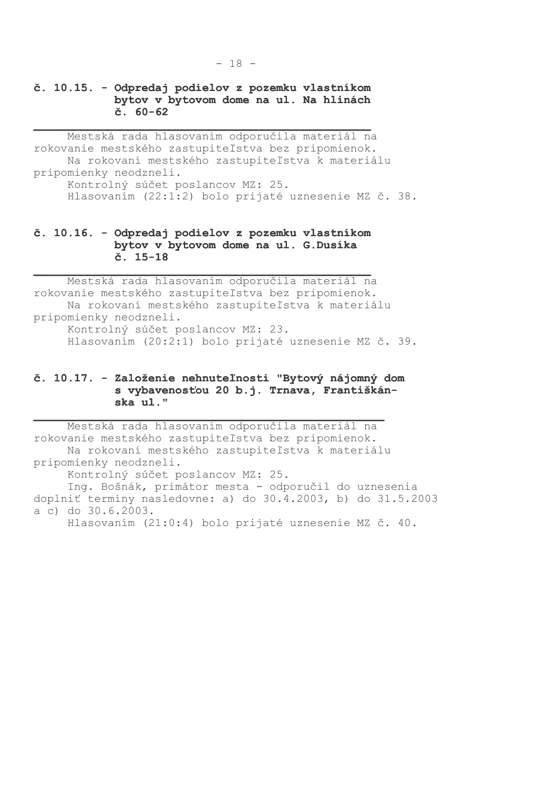## č. 10.15. - Odpredaj podielov z pozemku vlastníkom bytov v bytovom dome na ul. Na hlinách  $\check{c}$ . 60-62

Mestská rada hlasovaním odporučila materiál na rokovanie mestského zastupiteľstva bez pripomienok. Na rokovaní mestského zastupiteľstva k materiálu pripomienky neodzneli. Kontrolný súčet poslancov MZ: 25. Hlasovaním (22:1:2) bolo prijaté uznesenie MZ č. 38.

### č. 10.16. - Odpredaj podielov z pozemku vlastníkom bytov v bytovom dome na ul. G.Dusíka  $\check{c}$ . 15-18

Mestská rada hlasovaním odporučila materiál na rokovanie mestského zastupiteľstva bez pripomienok. Na rokovaní mestského zastupiteľstva k materiálu pripomienky neodzneli. Kontrolný súčet poslancov MZ: 23. Hlasovaním (20:2:1) bolo prijaté uznesenie MZ č. 39.

#### č. 10.17. - Založenie nehnuteľnosti "Bytový nájomný dom s vybavenosťou 20 b.j. Trnava, Františkánska ul."

Mestská rada hlasovaním odporučila materiál na rokovanie mestského zastupiteľstva bez pripomienok. Na rokovaní mestského zastupiteľstva k materiálu pripomienky neodzneli. Kontrolný súčet poslancov MZ: 25. Ing. Bošnák, primátor mesta - odporučil do uznesenia doplniť termíny nasledovne: a) do 30.4.2003, b) do 31.5.2003 a c) do 30.6.2003. Hlasovaním (21:0:4) bolo prijaté uznesenie MZ č. 40.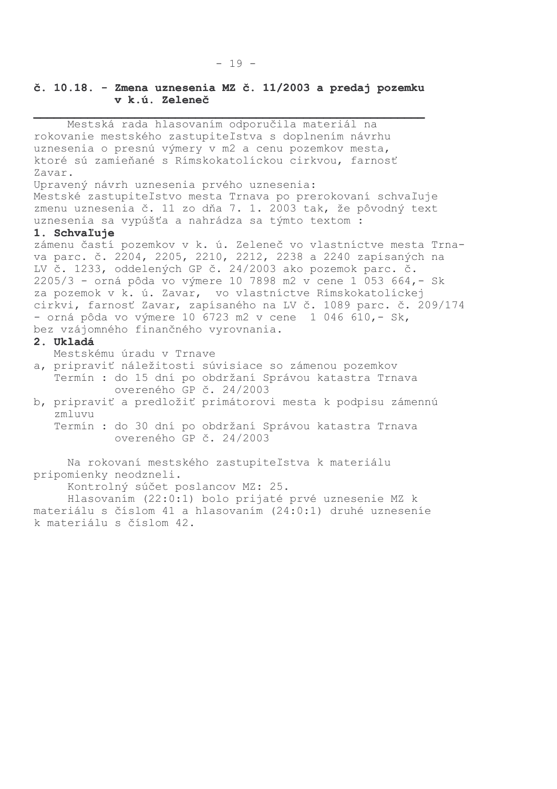## č. 10.18. - Zmena uznesenia MZ č. 11/2003 a predaj pozemku v k.ú. Zeleneč

Mestská rada hlasovaním odporučila materiál na rokovanie mestského zastupiteľstva s doplnením návrhu uznesenia o presnú výmery v m2 a cenu pozemkov mesta, ktoré sú zamieňané s Rímskokatolíckou cirkvou, farnosť Zavar. Upravený návrh uznesenia prvého uznesenia: Mestské zastupiteľstvo mesta Trnava po prerokovaní schvaľuje zmenu uznesenia č. 11 zo dňa 7. 1. 2003 tak, že pôvodný text uznesenia sa vypúšťa a nahrádza sa týmto textom : 1. Schvaľuje zámenu častí pozemkov v k. ú. Zeleneč vo vlastníctve mesta Trnava parc. č. 2204, 2205, 2210, 2212, 2238 a 2240 zapísaných na<br>LV č. 1233, oddelených GP č. 24/2003 ako pozemok parc. č. 2205/3 - orná pôda vo výmere 10 7898 m2 v cene 1 053 664, - Sk za pozemok v k. ú. Zavar, vo vlastníctve Rímskokatolíckej cirkvi, farnosť Zavar, zapísaného na LV č. 1089 parc. č. 209/174 - orná pôda vo výmere 10 6723 m2 v cene 1 046 610, - Sk, bez vzájomného finančného vyrovnania. 2. Ukladá Mestskému úradu v Trnave a, pripraviť náležitosti súvisiace so zámenou pozemkov Termín : do 15 dní po obdržaní Správou katastra Trnava overeného GP č. 24/2003 b, pripraviť a predložiť primátorovi mesta k podpisu zámennú zmluvu Termín : do 30 dní po obdržaní Správou katastra Trnava overeného GP č. 24/2003 Na rokovaní mestského zastupiteľstva k materiálu pripomienky neodzneli. Kontrolný súčet poslancov MZ: 25. Hlasovaním (22:0:1) bolo prijaté prvé uznesenie MZ k

materiálu s číslom 41 a hlasovaním (24:0:1) druhé uzneseníe k materiálu s číslom 42.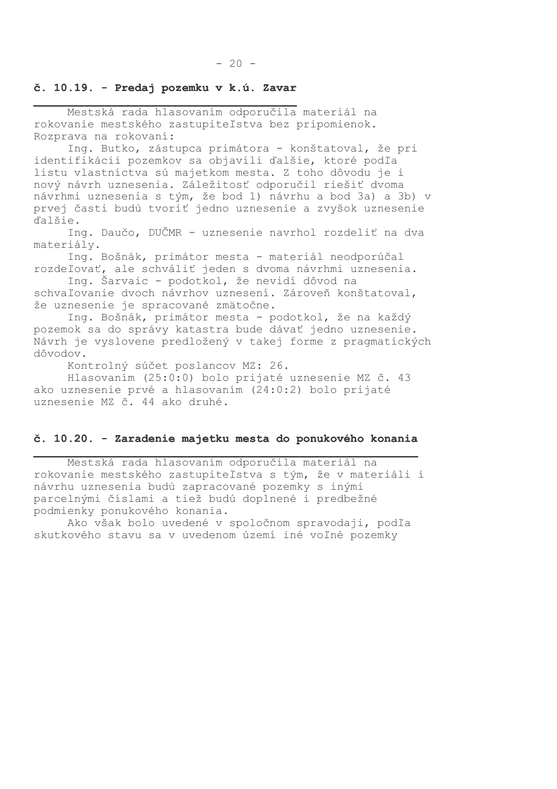# č. 10.19. - Predaj pozemku v k.ú. Zavar

Mestská rada hlasovaním odporučila materiál na rokovanie mestského zastupiteľstva bez pripomienok. Rozprava na rokovaní:

Ing. Butko, zástupca primátora - konštatoval, že pri identifikácii pozemkov sa objavili ďalšie, ktoré podľa listu vlastníctva sú majetkom mesta. Z toho dôvodu je i nový návrh uznesenia. Záležitosť odporučil riešiť dvoma návrhmi uznesenia s tým, že bod 1) návrhu a bod 3a) a 3b) v prvej časti budú tvoriť jedno uznesenie a zvyšok uznesenie d'alšie.

Ing. Daučo, DUČMR - uznesenie navrhol rozdeliť na dva materiály.

Ing. Bošnák, primátor mesta - materiál neodporúčal rozdeľovať, ale schváliť jeden s dvoma návrhmi uznesenia.

Ing. Šarvaic - podotkol, že nevidí dôvod na schvaľovanie dvoch návrhov uznesení. Zároveň konštatoval, že uznesenie je spracované zmätočne.

Ing. Bošnák, primátor mesta - podotkol, že na každý pozemok sa do správy katastra bude dávať jedno uznesenie. Návrh je vyslovene predložený v takej forme z pragmatických dôvodov.

Kontrolný súčet poslancov MZ: 26.

Hlasovaním (25:0:0) bolo prijaté uznesenie MZ č. 43 ako uznesenie prvé a hlasovaním (24:0:2) bolo prijaté uznesenie MZ č. 44 ako druhé.

#### č. 10.20. - Zaradenie majetku mesta do ponukového konania

Mestská rada hlasovaním odporučila materiál na rokovanie mestského zastupiteľstva s tým, že v materiáli i návrhu uznesenia budú zapracované pozemky s inými parcelnými číslami a tiež budú doplnené i predbežné podmienky ponukového konania.

Ako však bolo uvedené v spoločnom spravodaji, podľa skutkového stavu sa v uvedenom území iné voľné pozemky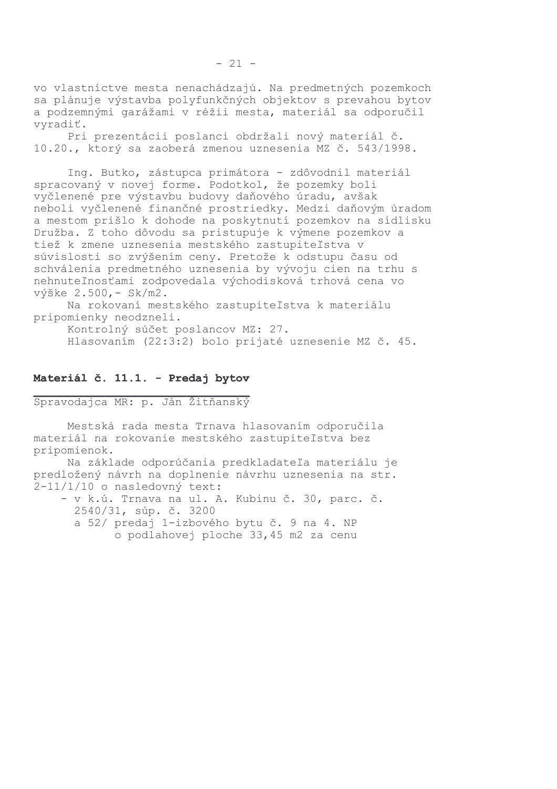vo vlastníctve mesta nenachádzajú. Na predmetných pozemkoch sa plánuje výstavba polyfunkčných objektov s prevahou bytov a podzemnými garážami v réžii mesta, materiál sa odporučil vvradiť.

Pri prezentácii poslanci obdržali nový materiál č. 10.20., ktorý sa zaoberá zmenou uznesenia MZ č. 543/1998.

Ing. Butko, zástupca primátora - zdôvodnil materiál spracovaný v novej forme. Podotkol, že pozemky boli vyčlenené pre výstavbu budovy daňového úradu, avšak neboli vyčlenené finančné prostriedky. Medzi daňovým úradom a mestom prišlo k dohode na poskytnutí pozemkov na sídlisku Družba. Z toho dôvodu sa pristupuje k výmene pozemkov a tiež k zmene uznesenia mestského zastupiteľstva v súvislosti so zvýšením ceny. Pretože k odstupu času od schválenia predmetného uznesenia by vývoju cien na trhu s nehnuteľnosťami zodpovedala východisková trhová cena vo výške 2.500, - Sk/m2.

Na rokovaní mestského zastupiteľstva k materiálu pripomienky neodzneli.

Kontrolný súčet poslancov MZ: 27.

Hlasovaním (22:3:2) bolo prijaté uznesenie MZ č. 45.

# Materiál č. 11.1. - Predaj bytov

Spravodajca MR: p. Ján Žitňanský

Mestská rada mesta Trnava hlasovaním odporučila materiál na rokovanie mestského zastupiteľstva bez pripomienok.

Na základe odporúčania predkladateľa materiálu je predložený návrh na doplnenie návrhu uznesenia na str.  $2-11/1/10$  o nasledovný text:

- v k.ú. Trnava na ul. A. Kubinu č. 30, parc. č. 2540/31, súp. č. 3200 a 52/ predaj 1-izbového bytu č. 9 na 4. NP o podlahovej ploche 33,45 m2 za cenu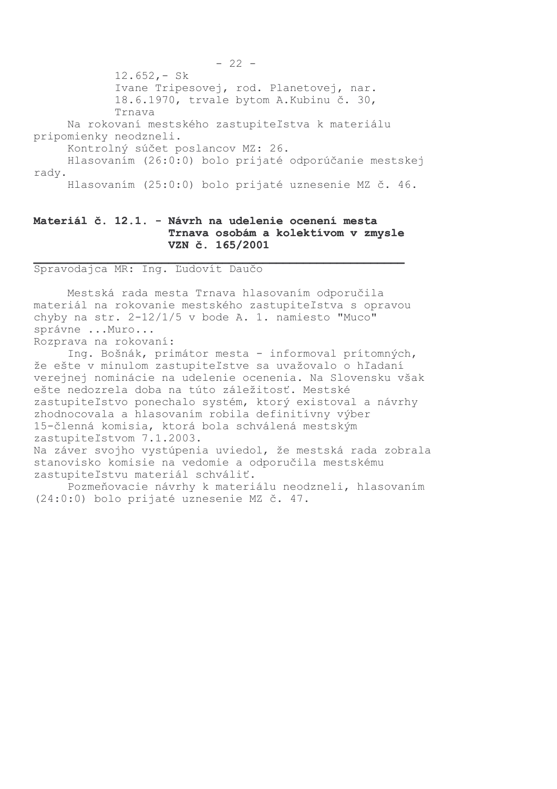$12.652 - Sk$ Ivane Tripesovej, rod. Planetovej, nar. 18.6.1970, trvale bytom A.Kubinu č. 30, Trnava Na rokovaní mestského zastupiteľstva k materiálu pripomienky neodzneli. Kontrolný súčet poslancov MZ: 26. Hlasovaním (26:0:0) bolo prijaté odporúčanie mestskej rady. Hlasovaním (25:0:0) bolo prijaté uznesenie MZ č. 46.

# Materiál č. 12.1. - Návrh na udelenie ocenení mesta Trnava osobám a kolektívom v zmysle VZN č. 165/2001

Spravodajca MR: Ing. Ľudovít Daučo

Mestská rada mesta Trnava hlasovaním odporučila materiál na rokovanie mestského zastupiteľstva s opravou chyby na str.  $2-12/1/5$  v bode A. 1. namiesto "Muco" správne ... Muro...

Rozprava na rokovaní:

Ing. Bošnák, primátor mesta - informoval prítomných, že ešte v minulom zastupiteľstve sa uvažovalo o hľadaní verejnej nominácie na udelenie ocenenia. Na Slovensku však ešte nedozrela doba na túto záležitosť. Mestské zastupiteľstvo ponechalo systém, ktorý existoval a návrhy zhodnocovala a hlasovaním robila definitívny výber 15-členná komisia, ktorá bola schválená mestským zastupiteľstvom 7.1.2003. Na záver svojho vystúpenia uviedol, že mestská rada zobrala stanovisko komisie na vedomie a odporučila mestskému zastupiteľstvu materiál schváliť.

Pozmeňovacie návrhy k materiálu neodzneli, hlasovaním (24:0:0) bolo prijaté uznesenie MZ č. 47.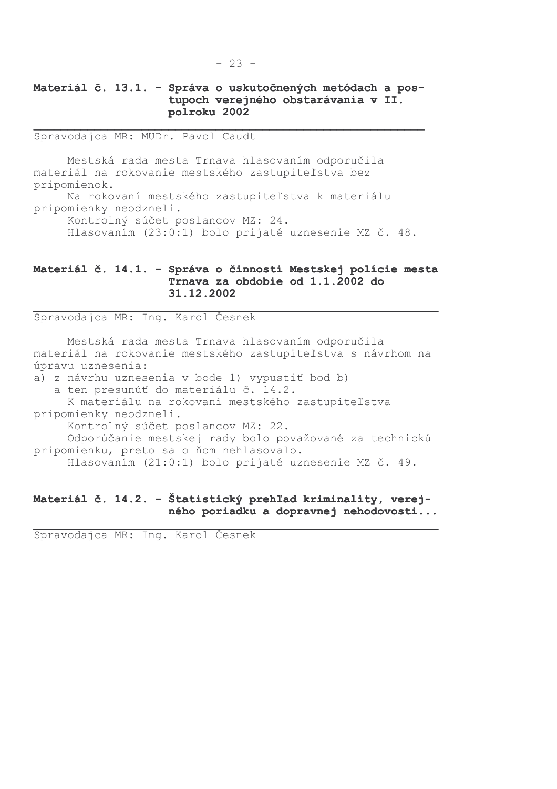# Materiál č. 13.1. - Správa o uskutočnených metódach a postupoch verejného obstarávania v II. polroku 2002

Spravodajca MR: MUDr. Pavol Caudt

Mestská rada mesta Trnava hlasovaním odporučila materiál na rokovanie mestského zastupiteľstva bez pripomienok.

Na rokovaní mestského zastupiteľstva k materiálu pripomienky neodzneli.

Kontrolný súčet poslancov MZ: 24.

Hlasovaním (23:0:1) bolo prijaté uznesenie MZ č. 48.

# Materiál č. 14.1. - Správa o činnosti Mestskej polície mesta Trnava za obdobie od 1.1.2002 do 31.12.2002

Spravodajca MR: Ing. Karol Česnek

Mestská rada mesta Trnava hlasovaním odporučila materiál na rokovanie mestského zastupiteľstva s návrhom na úpravu uznesenia:

a) z návrhu uznesenia v bode 1) vypustiť bod b) a ten presunúť do materiálu č. 14.2.

K materiálu na rokovaní mestského zastupiteľstva pripomienky neodzneli.

Kontrolný súčet poslancov MZ: 22.

Odporúčanie mestskej rady bolo považované za technickú pripomienku, preto sa o ňom nehlasovalo.

Hlasovaním (21:0:1) bolo prijaté uznesenie MZ č. 49.

### Materiál č. 14.2. - Štatistický prehľad kriminality, verejného poriadku a dopravnej nehodovosti...

Spravodajca MR: Ing. Karol Česnek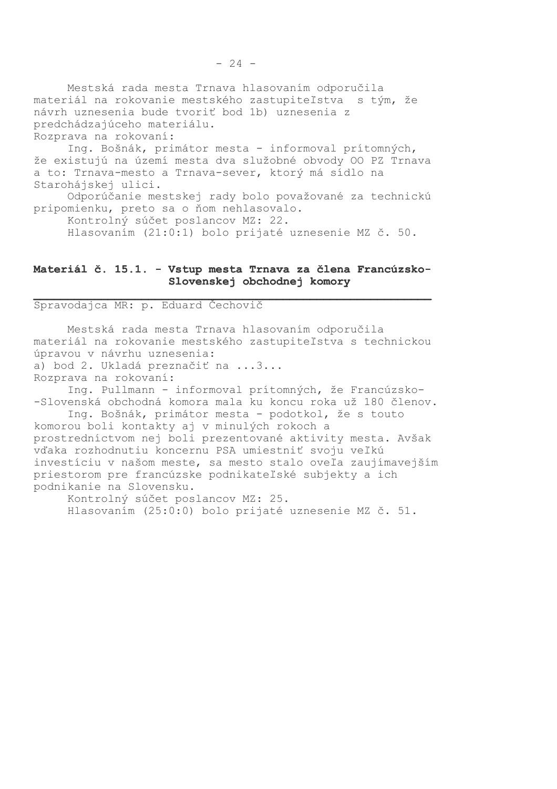Mestská rada mesta Trnava hlasovaním odporučila materiál na rokovanie mestského zastupiteľstva s tým, že návrh uznesenia bude tvoriť bod 1b) uznesenia z predchádzajúceho materiálu. Rozprava na rokovaní:

Ing. Bošnák, primátor mesta - informoval prítomných, že existujú na území mesta dva služobné obvody OO PZ Trnava a to: Trnava-mesto a Trnava-sever, ktorý má sídlo na Starohájskej ulici.

Odporúčanie mestskej rady bolo považované za technickú pripomienku, preto sa o ňom nehlasovalo.

Kontrolný súčet poslancov MZ: 22.

Hlasovaním (21:0:1) bolo prijaté uznesenie MZ č. 50.

#### Materiál č. 15.1. - Vstup mesta Trnava za člena Francúzsko-Slovenskej obchodnej komory

Spravodajca MR: p. Eduard Čechovič

Mestská rada mesta Trnava hlasovaním odporučila materiál na rokovanie mestského zastupiteľstva s technickou úpravou v návrhu uznesenia: a) bod 2. Ukladá preznačiť na ...3... Rozprava na rokovaní: Ing. Pullmann - informoval prítomných, že Francúzsko-

-Slovenská obchodná komora mala ku koncu roka už 180 členov. Ing. Bošnák, primátor mesta - podotkol, že s touto

komorou boli kontakty aj v minulých rokoch a prostredníctvom nej boli prezentované aktivity mesta. Avšak vďaka rozhodnutiu koncernu PSA umiestniť svoju veľkú investíciu v našom meste, sa mesto stalo oveľa zaujímavejším priestorom pre francúzske podnikateľské subjekty a ich podnikanie na Slovensku.

Kontrolný súčet poslancov MZ: 25. Hlasovaním (25:0:0) bolo prijaté uznesenie MZ č. 51.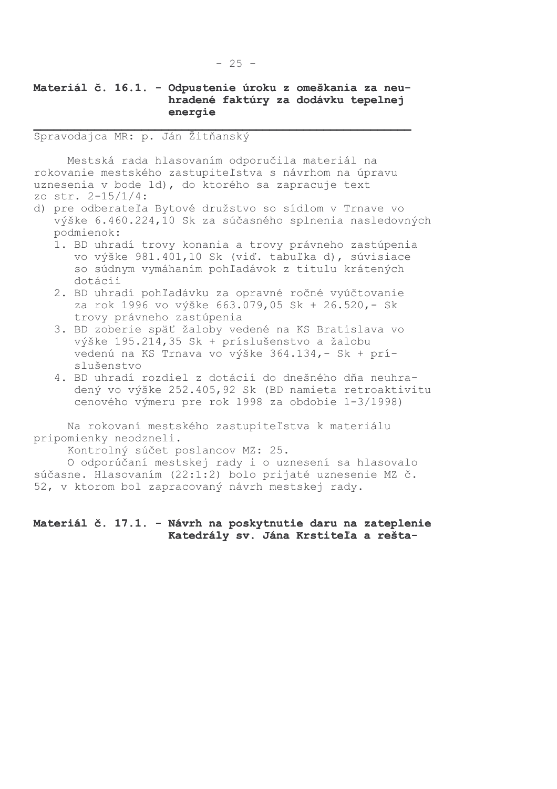# Materiál č. 16.1. - Odpustenie úroku z omeškania za neuhradené faktúry za dodávku tepelnej energie

Spravodajca MR: p. Ján Žitňanský

Mestská rada hlasovaním odporučila materiál na rokovanie mestského zastupiteľstva s návrhom na úpravu uznesenia v bode 1d), do ktorého sa zapracuje text zo str. 2-15/1/4:

- d) pre odberateľa Bytové družstvo so sídlom v Trnave vo výške 6.460.224,10 Sk za súčasného splnenia nasledovných podmienok:
	- 1. BD uhradí trovy konania a trovy právneho zastúpenia vo výške 981.401,10 Sk (viď. tabuľka d), súvisiace so súdnym vymáhaním pohľadávok z titulu krátených dotácií
	- 2. BD uhradí pohľadávku za opravné ročné vyúčtovanie za rok 1996 vo výške 663.079,05 Sk + 26.520, - Sk trovy právneho zastúpenia
	- 3. BD zoberie späť žaloby vedené na KS Bratislava vo výške 195.214,35 Sk + príslušenstvo a žalobu vedenú na KS Trnava vo výške 364.134,- Sk + príslušenstvo
	- 4. BD uhradí rozdiel z dotácií do dnešného dňa neuhradený vo výške 252.405,92 Sk (BD namieta retroaktivitu cenového výmeru pre rok 1998 za obdobie 1-3/1998)

Na rokovaní mestského zastupiteľstva k materiálu pripomienky neodzneli.

Kontrolný súčet poslancov MZ: 25.

O odporúčaní mestskej rady i o uznesení sa hlasovalo súčasne. Hlasovaním (22:1:2) bolo prijaté uznesenie MZ č. 52, v ktorom bol zapracovaný návrh mestskej rady.

#### Materiál č. 17.1. - Návrh na poskytnutie daru na zateplenie Katedrály sv. Jána Krstiteľa a rešta-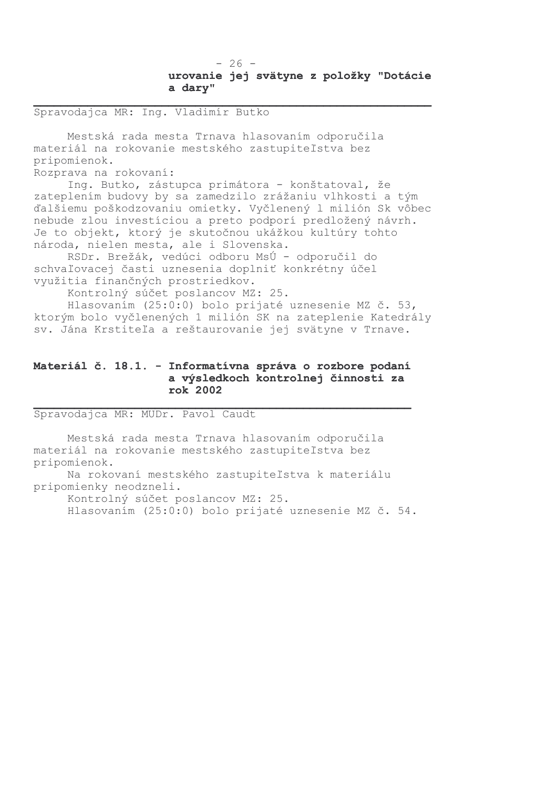Spravodajca MR: Ing. Vladimír Butko

Mestská rada mesta Trnava hlasovaním odporučila materiál na rokovanie mestského zastupiteľstva bez pripomienok.

Rozprava na rokovaní:

Ing. Butko, zástupca primátora - konštatoval, že zateplením budovy by sa zamedzilo zrážaniu vlhkosti a tým ďalšiemu poškodzovaniu omietky. Vyčlenený l milión Sk vôbec nebude zlou investíciou a preto podporí predložený návrh. Je to objekt, ktorý je skutočnou ukážkou kultúry tohto národa, nielen mesta, ale i Slovenska.

RSDr. Brežák, vedúci odboru MsÚ - odporučil do schvaľovacej časti uznesenia doplniť konkrétny účel využitia finančných prostriedkov.

Kontrolný súčet poslancov MZ: 25.

Hlasovaním (25:0:0) bolo prijaté uznesenie MZ č. 53, ktorým bolo vyčlenených 1 milión SK na zateplenie Katedrály sv. Jána Krstiteľa a reštaurovanie jej svätyne v Trnave.

### Materiál č. 18.1. - Informatívna správa o rozbore podaní a výsledkoch kontrolnej činnosti za rok 2002

Spravodajca MR: MUDr. Pavol Caudt

Mestská rada mesta Trnava hlasovaním odporučila materiál na rokovanie mestského zastupiteľstva bez pripomienok.

Na rokovaní mestského zastupiteľstva k materiálu pripomienky neodzneli.

Kontrolný súčet poslancov MZ: 25.

Hlasovaním (25:0:0) bolo prijaté uznesenie MZ č. 54.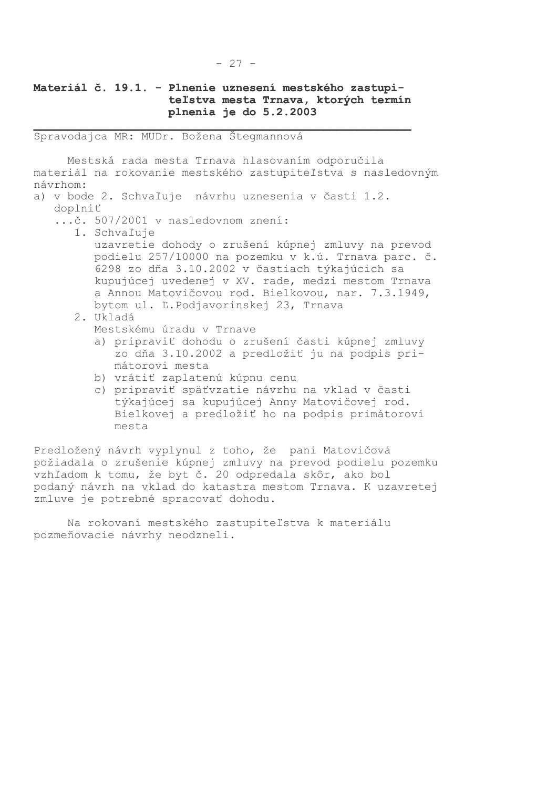# Materiál č. 19.1. - Plnenie uznesení mestského zastupiteľstva mesta Trnava, ktorých termín plnenia je do 5.2.2003

Spravodajca MR: MUDr. Božena Štegmannová

Mestská rada mesta Trnava hlasovaním odporučila materiál na rokovanie mestského zastupiteľstva s nasledovným návrhom:

- a) v bode 2. Schvaľuje návrhu uznesenia v časti 1.2.
	- doplniť
		- ...č. 507/2001 v nasledovnom znení:
			- 1. Schvaľuje uzavretie dohody o zrušení kúpnej zmluvy na prevod podielu 257/10000 na pozemku v k.ú. Trnava parc. č. 6298 zo dňa 3.10.2002 v častiach týkajúcich sa kupujúcej uvedenej v XV. rade, medzi mestom Trnava a Annou Matovičovou rod. Bielkovou, nar. 7.3.1949, bytom ul. L.Podjavorinskej 23, Trnava
			- 2. Ukladá Mestskému úradu v Trnave
				- a) pripraviť dohodu o zrušení časti kúpnej zmluvy zo dňa 3.10.2002 a predložiť ju na podpis primátorovi mesta
				- b) vrátiť zaplatenú kúpnu cenu
				- c) pripraviť späťvzatie návrhu na vklad v časti týkajúcej sa kupujúcej Anny Matovičovej rod. Bielkovej a predložiť ho na podpis primátorovi mesta

Predložený návrh vyplynul z toho, že pani Matovičová požiadala o zrušenie kúpnej zmluvy na prevod podielu pozemku vzhľadom k tomu, že byt č. 20 odpredala skôr, ako bol podaný návrh na vklad do katastra mestom Trnava. K uzavretej zmluve je potrebné spracovať dohodu.

Na rokovaní mestského zastupiteľstva k materiálu pozmeňovacie návrhy neodzneli.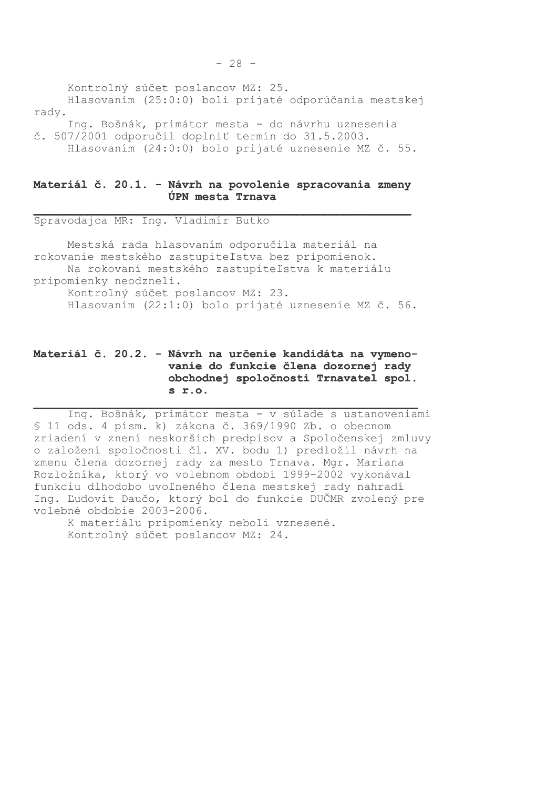Kontrolný súčet poslancov MZ: 25. Hlasovaním (25:0:0) boli prijaté odporúčania mestskej rady. Ing. Bošnák, primátor mesta - do návrhu uznesenia č. 507/2001 odporučil doplniť termín do 31.5.2003.

Hlasovaním (24:0:0) bolo prijaté uznesenie MZ č. 55.

#### Materiál č. 20.1. - Návrh na povolenie spracovania zmeny **ÚPN** mesta Trnava

Spravodajca MR: Ing. Vladimír Butko

Mestská rada hlasovaním odporučila materiál na rokovanie mestského zastupiteľstva bez pripomienok. Na rokovaní mestského zastupiteľstva k materiálu pripomienky neodzneli. Kontrolný súčet poslancov MZ: 23. Hlasovaním (22:1:0) bolo prijaté uznesenie MZ č. 56.

# Materiál č. 20.2. - Návrh na určenie kandidáta na vymenovanie do funkcie člena dozornej rady obchodnej spoločnosti Trnavatel spol.  $s$   $r.o.$

Ing. Bošnák, primátor mesta - v súlade s ustanoveniami  $$11$  ods. 4 písm. k) zákona č. 369/1990 Zb. o obecnom zriadení v znení neskorších predpisov a Spoločenskej zmluvy o založení spoločnosti čl. XV. bodu 1) predložil návrh na zmenu člena dozornej rady za mesto Trnava. Mgr. Mariana Rozložníka, ktorý vo volebnom období 1999-2002 vykonával funkciu dlhodobo uvoľneného člena mestskej rady nahradí Ing. Ľudovít Daučo, ktorý bol do funkcie DUČMR zvolený pre volebné obdobie 2003-2006.

K materiálu pripomienky neboli vznesené. Kontrolný súčet poslancov MZ: 24.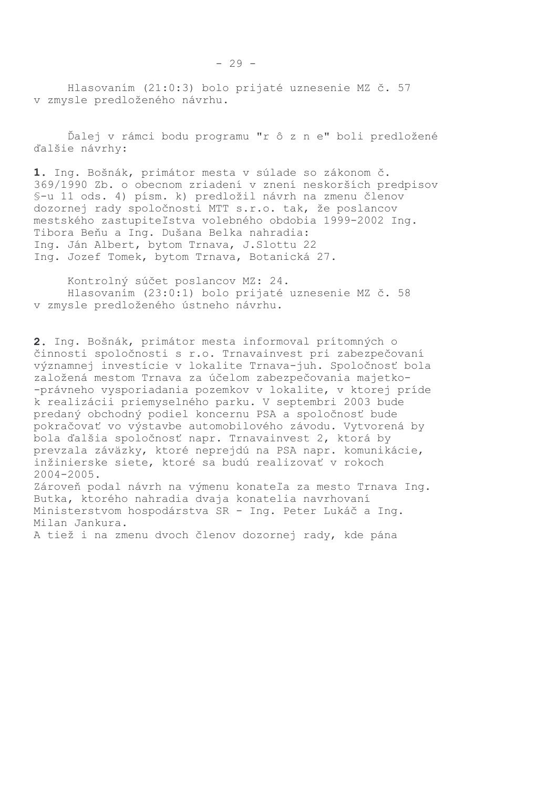Hlasovaním (21:0:3) bolo prijaté uznesenie MZ č. 57 v zmysle predloženého návrhu.

Ďalej v rámci bodu programu "r ô z n e" boli predložené ďalšie návrhy:

1. Ing. Bošnák, primátor mesta v súlade so zákonom č. 369/1990 Zb. o obecnom zriadení v znení neskorších predpisov §-u 11 ods. 4) písm. k) predložil návrh na zmenu členov dozornej rady spoločnosti MTT s.r.o. tak, že poslancov mestského zastupiteľstva volebného obdobia 1999-2002 Ing. Tibora Beňu a Ing. Dušana Belka nahradia: Ing. Ján Albert, bytom Trnava, J. Slottu 22 Ing. Jozef Tomek, bytom Trnava, Botanická 27.

Kontrolný súčet poslancov MZ: 24. Hlasovaním (23:0:1) bolo prijaté uznesenie MZ č. 58 v zmysle predloženého ústneho návrhu.

2. Ing. Bošnák, primátor mesta informoval prítomných o činnosti spoločnosti s r.o. Trnavainvest pri zabezpečovaní významnej investície v lokalite Trnava-juh. Spoločnosť bola založená mestom Trnava za účelom zabezpečovania majetko--právneho vysporiadania pozemkov v lokalite, v ktorej príde k realizácii priemyselného parku. V septembri 2003 bude predaný obchodný podiel koncernu PSA a spoločnosť bude pokračovať vo výstavbe automobilového závodu. Vytvorená by bola ďalšia spoločnosť napr. Trnavainvest 2, ktorá by prevzala záväzky, ktoré neprejdú na PSA napr. komunikácie, inžinierske siete, ktoré sa budú realizovať v rokoch  $2004 - 2005$ . Zároveň podal návrh na výmenu konateľa za mesto Trnava Inq.

Butka, ktorého nahradia dvaja konatelia navrhovaní Ministerstvom hospodárstva SR - Ing. Peter Lukáč a Ing. Milan Jankura.

A tiež i na zmenu dvoch členov dozornej rady, kde pána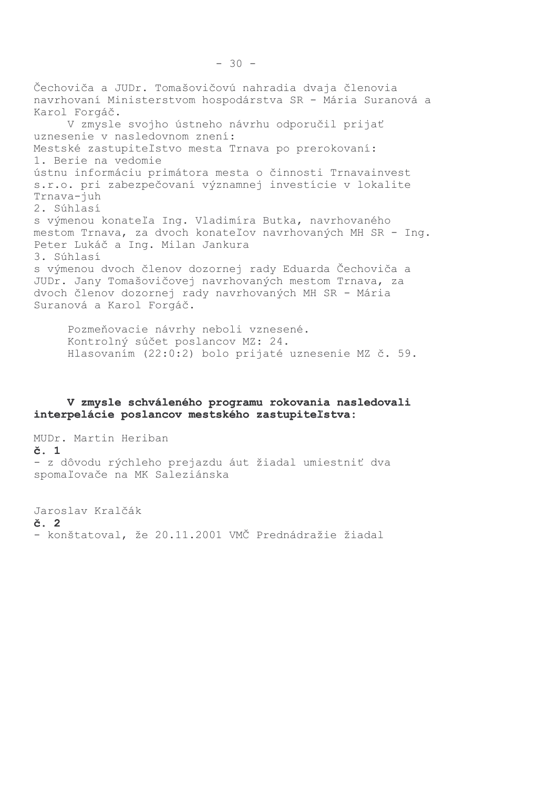Čechoviča a JUDr. Tomašovičovú nahradia dvaja členovia navrhovaní Ministerstvom hospodárstva SR - Mária Suranová a Karol Forgáč. V zmysle svojho ústneho návrhu odporučil prijať uznesenie v nasledovnom znení: Mestské zastupiteľstvo mesta Trnava po prerokovaní: 1. Berie na vedomie ústnu informáciu primátora mesta o činnosti Trnavainvest s.r.o. pri zabezpečovaní významnej investície v lokalite Trnava-juh 2. Súhlasí s výmenou konateľa Ing. Vladimíra Butka, navrhovaného mestom Trnava, za dvoch konateľov navrhovaných MH SR - Inq. Peter Lukáč a Ing. Milan Jankura 3. Súhlasí s výmenou dvoch členov dozornej rady Eduarda Čechoviča a JUDr. Jany Tomašovičovej navrhovaných mestom Trnava, za dvoch členov dozornej rady navrhovaných MH SR - Mária Suranová a Karol Forgáč.

Pozmeňovacie návrhy neboli vznesené. Kontrolný súčet poslancov MZ: 24. Hlasovaním (22:0:2) bolo prijaté uznesenie MZ č. 59.

#### V zmysle schváleného programu rokovania nasledovali interpelácie poslancov mestského zastupiteľstva:

MUDr. Martin Heriban  $\check{c}$ . 1 - z dôvodu rýchleho prejazdu áut žiadal umiestniť dva spomaľovače na MK Saleziánska

Jaroslav Kralčák  $\check{c}$ . 2 - konštatoval, že 20.11.2001 VMČ Prednádražie žiadal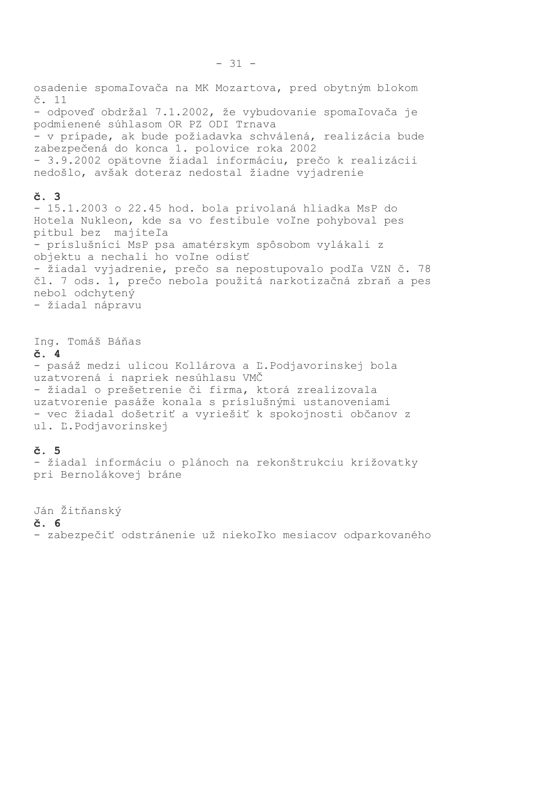osadenie spomaľovača na MK Mozartova, pred obytným blokom č. 11 - odpoveď obdržal 7.1.2002, že vybudovanie spomaľovača je podmienené súhlasom OR PZ ODI Trnava - v prípade, ak bude požiadavka schválená, realizácia bude zabezpečená do konca 1. polovice roka 2002 - 3.9.2002 opätovne žiadal informáciu, prečo k realizácii nedošlo, avšak doteraz nedostal žiadne vyjadrenie č. 3 - 15.1.2003 o 22.45 hod. bola privolaná hliadka MsP do Hotela Nukleon, kde sa vo festibule voľne pohyboval pes pitbul bez majiteľa - príslušníci MsP psa amatérskym spôsobom vylákali z objektu a nechali ho voľne odísť - žiadal vyjadrenie, prečo sa nepostupovalo podľa VZN č. 78 čl. 7 ods. 1, prečo nebola použitá narkotizačná zbraň a pes nebol odchytený - žiadal nápravu Ing. Tomáš Báňas  $\check{c}$ . 4 - pasáž medzi ulicou Kollárova a Ľ.Podjavorinskej bola uzatvorená i napriek nesúhlasu VMČ - žiadal o prešetrenie či firma, ktorá zrealizovala uzatvorenie pasáže konala s príslušnými ustanoveniami - vec žiadal došetriť a vyriešiť k spokojnosti občanov z ul. L.Podjavorinskej

# č. 5

- žiadal informáciu o plánoch na rekonštrukciu križovatky pri Bernolákovej bráne

Ján Žitňanský  $\check{c}$ . 6 - zabezpečiť odstránenie už niekoľko mesiacov odparkovaného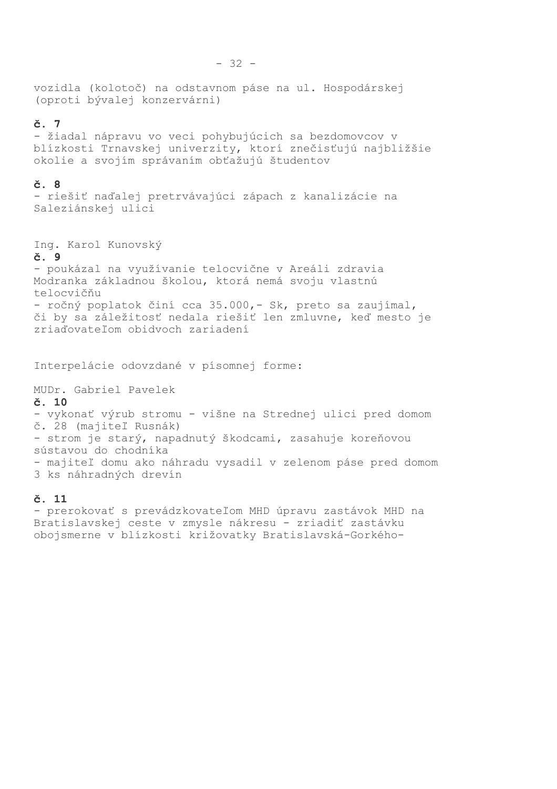vozidla (kolotoč) na odstavnom páse na ul. Hospodárskej (oproti bývalej konzervárni)

# $\check{c}$ . 7

- žiadal nápravu vo veci pohybujúcich sa bezdomovcov v blízkosti Trnavskej univerzity, ktorí znečisťujú najbližšie okolie a svojím správaním obťažujú študentov

#### č. 8

- riešiť naďalej pretrvávajúci zápach z kanalizácie na Saleziánskej ulici

Ing. Karol Kunovský

#### č. 9

- poukázal na využívanie telocvične v Areáli zdravia Modranka základnou školou, ktorá nemá svoju vlastnú telocvičňu - ročný poplatok činí cca 35.000,- Sk, preto sa zaujímal, či by sa záležitosť nedala riešiť len zmluvne, keď mesto je zriaďovateľom obidvoch zariadení

Interpelácie odovzdané v písomnej forme:

MUDr. Gabriel Pavelek

#### $\check{c}$ . 10

- vykonať výrub stromu - višne na Strednej ulici pred domom č. 28 (majiteľ Rusnák) - strom je starý, napadnutý škodcami, zasahuje koreňovou sústavou do chodníka - majiteľ domu ako náhradu vysadil v zelenom páse pred domom 3 ks náhradných drevín

#### č. 11

- prerokovať s prevádzkovateľom MHD úpravu zastávok MHD na Bratislavskej ceste v zmysle nákresu - zriadiť zastávku obojsmerne v blízkosti križovatky Bratislavská-Gorkého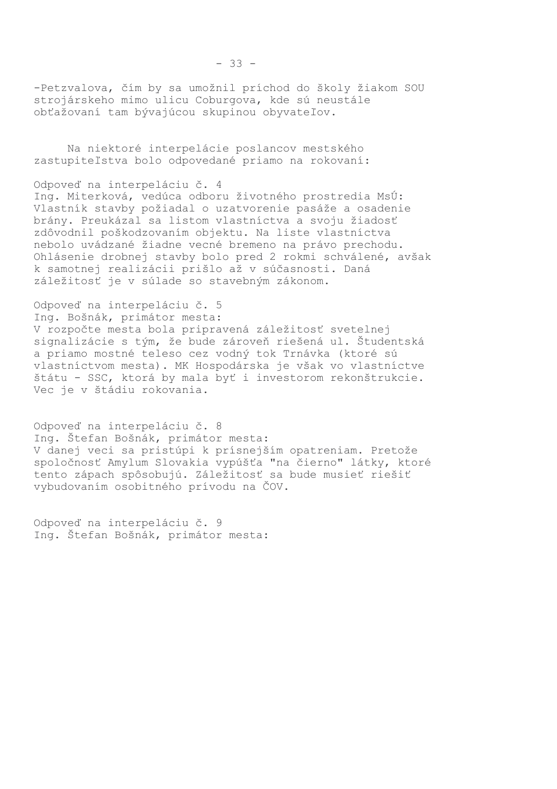-Petzvalova, čím by sa umožnil príchod do školy žiakom SOU strojárskeho mimo ulicu Coburgova, kde sú neustále obťažovaní tam bývajúcou skupinou obyvateľov.

Na niektoré interpelácie poslancov mestského zastupiteľstva bolo odpovedané priamo na rokovaní:

Odpoveď na interpeláciu č. 4

Ing. Miterková, vedúca odboru životného prostredia MsÚ: Vlastník stavby požiadal o uzatvorenie pasáže a osadenie brány. Preukázal sa listom vlastníctva a svoju žiadosť zdôvodnil poškodzovaním objektu. Na liste vlastníctva nebolo uvádzané žiadne vecné bremeno na právo prechodu. Ohlásenie drobnej stavby bolo pred 2 rokmi schválené, avšak k samotnej realizácii prišlo až v súčasnosti. Daná záležitosť je v súlade so stavebným zákonom.

Odpoveď na interpeláciu č. 5

Ing. Bošnák, primátor mesta:

V rozpočte mesta bola pripravená záležitosť svetelnej signalizácie s tým, že bude zároveň riešená ul. Študentská a priamo mostné teleso cez vodný tok Trnávka (ktoré sú vlastníctvom mesta). MK Hospodárska je však vo vlastníctve štátu - SSC, ktorá by mala byť i investorom rekonštrukcie. Vec je v štádiu rokovania.

Odpoveď na interpeláciu č. 8 Ing. Štefan Bošnák, primátor mesta: V danej veci sa pristúpi k prísnejším opatreniam. Pretože spoločnosť Amylum Slovakia vypúšťa "na čierno" látky, ktoré tento zápach spôsobujú. Záležitosť sa bude musieť riešiť vybudovaním osobitného prívodu na ČOV.

Odpoveď na interpeláciu č. 9 Ing. Štefan Bošnák, primátor mesta: